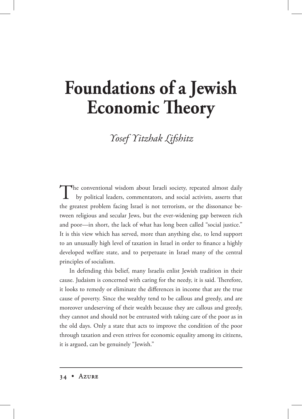# **Foundations of a Jewish Economic Theory**

*osef itzhak ifshitz*

The conventional wisdom about Israeli society, repeated almost daily by political leaders, commentators, and social activists, asserts that the greatest problem facing Israel is not terrorism, or the dissonance between religious and secular Jews, but the ever-widening gap between rich and poor—in short, the lack of what has long been called "social justice." It is this view which has served, more than anything else, to lend support to an unusually high level of taxation in Israel in order to finance a highly developed welfare state, and to perpetuate in Israel many of the central principles of socialism.

In defending this belief, many Israelis enlist Jewish tradition in their cause. Judaism is concerned with caring for the needy, it is said. Therefore, it looks to remedy or eliminate the differences in income that are the true cause of poverty. Since the wealthy tend to be callous and greedy, and are moreover undeserving of their wealth because they are callous and greedy, they cannot and should not be entrusted with taking care of the poor as in the old days. Only a state that acts to improve the condition of the poor through taxation and even strives for economic equality among its citizens, it is argued, can be genuinely "Jewish."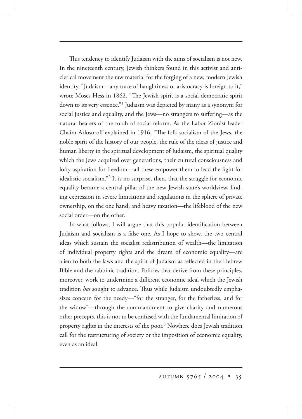This tendency to identify Judaism with the aims of socialism is not new. In the nineteenth century, Jewish thinkers found in this activist and anticlerical movement the raw material for the forging of a new, modern Jewish identity. "Judaism—any trace of haughtiness or aristocracy is foreign to it," wrote Moses Hess in 1862. "The Jewish spirit is a social-democratic spirit down to its very essence."1 Judaism was depicted by many as a synonym for social justice and equality, and the Jews—no strangers to suffering—as the natural bearers of the torch of social reform. As the Labor Zionist leader Chaim Arlosoroff explained in 1916, "The folk socialism of the Jews, the noble spirit of the history of our people, the rule of the ideas of justice and human liberty in the spiritual development of Judaism, the spiritual quality which the Jews acquired over generations, their cultural consciousness and lofty aspiration for freedom—all these empower them to lead the fight for idealistic socialism."<sup>2</sup> It is no surprise, then, that the struggle for economic equality became a central pillar of the new Jewish state's worldview, finding expression in severe limitations and regulations in the sphere of private ownership, on the one hand, and heavy taxation—the lifeblood of the new social order—on the other.

In what follows, I will argue that this popular identification between Judaism and socialism is a false one. As I hope to show, the two central ideas which sustain the socialist redistribution of wealth—the limitation of individual property rights and the dream of economic equality—are alien to both the laws and the spirit of Judaism as reflected in the Hebrew Bible and the rabbinic tradition. Policies that derive from these principles, moreover, work to undermine a different economic ideal which the Jewish tradition *has* sought to advance. Thus while Judaism undoubtedly emphasizes concern for the needy—"for the stranger, for the fatherless, and for the widow"—through the commandment to give charity and numerous other precepts, this is not to be confused with the fundamental limitation of property rights in the interests of the poor.<sup>3</sup> Nowhere does Jewish tradition call for the restructuring of society or the imposition of economic equality, even as an ideal.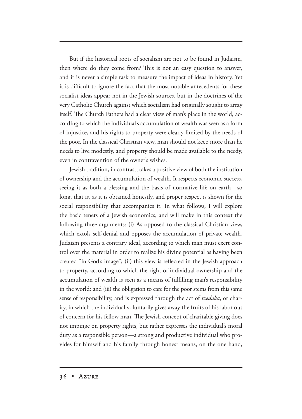But if the historical roots of socialism are not to be found in Judaism, then where do they come from? This is not an easy question to answer, and it is never a simple task to measure the impact of ideas in history. Yet it is difficult to ignore the fact that the most notable antecedents for these socialist ideas appear not in the Jewish sources, but in the doctrines of the very Catholic Church against which socialism had originally sought to array itself. The Church Fathers had a clear view of man's place in the world, according to which the individual's accumulation of wealth was seen as a form of injustice, and his rights to property were clearly limited by the needs of the poor. In the classical Christian view, man should not keep more than he needs to live modestly, and property should be made available to the needy, even in contravention of the owner's wishes.

Jewish tradition, in contrast, takes a positive view of both the institution of ownership and the accumulation of wealth. It respects economic success, seeing it as both a blessing and the basis of normative life on earth—so long, that is, as it is obtained honestly, and proper respect is shown for the social responsibility that accompanies it. In what follows, I will explore the basic tenets of a Jewish economics, and will make in this context the following three arguments: (i) As opposed to the classical Christian view, which extols self-denial and opposes the accumulation of private wealth, Judaism presents a contrary ideal, according to which man must exert control over the material in order to realize his divine potential as having been created "in God's image"; (ii) this view is reflected in the Jewish approach to property, according to which the right of individual ownership and the accumulation of wealth is seen as a means of fulfilling man's responsibility in the world; and (iii) the obligation to care for the poor stems from this same sense of responsibility, and is expressed through the act of *tzedaka*, or charity, in which the individual voluntarily gives away the fruits of his labor out of concern for his fellow man. The Jewish concept of charitable giving does not impinge on property rights, but rather expresses the individual's moral duty as a responsible person—a strong and productive individual who provides for himself and his family through honest means, on the one hand,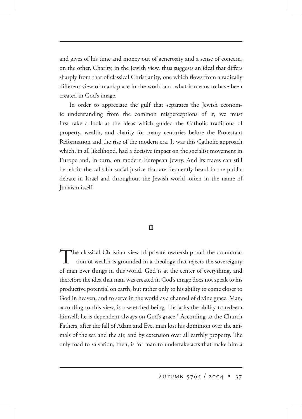and gives of his time and money out of generosity and a sense of concern, on the other. Charity, in the Jewish view, thus suggests an ideal that differs sharply from that of classical Christianity, one which flows from a radically different view of man's place in the world and what it means to have been created in God's image.

In order to appreciate the gulf that separates the Jewish economic understanding from the common misperceptions of it, we must first take a look at the ideas which guided the Catholic traditions of property, wealth, and charity for many centuries before the Protestant Reformation and the rise of the modern era. It was this Catholic approach which, in all likelihood, had a decisive impact on the socialist movement in Europe and, in turn, on modern European Jewry. And its traces can still be felt in the calls for social justice that are frequently heard in the public debate in Israel and throughout the Jewish world, often in the name of Judaism itself.

#### **II**

The classical Christian view of private ownership and the accumula tion of wealth is grounded in a theology that rejects the sovereignty of man over things in this world. God is at the center of everything, and therefore the idea that man was created in God's image does not speak to his productive potential on earth, but rather only to his ability to come closer to God in heaven, and to serve in the world as a channel of divine grace. Man, according to this view, is a wretched being. He lacks the ability to redeem himself; he is dependent always on God's grace.<sup>4</sup> According to the Church Fathers, after the fall of Adam and Eve, man lost his dominion over the animals of the sea and the air, and by extension over all earthly property. The only road to salvation, then, is for man to undertake acts that make him a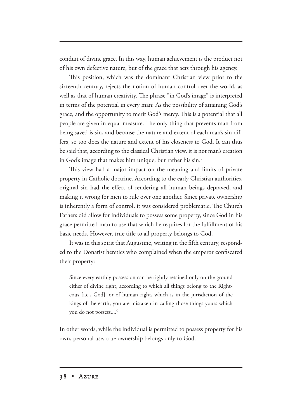conduit of divine grace. In this way, human achievement is the product not of his own defective nature, but of the grace that acts through his agency.

This position, which was the dominant Christian view prior to the sixteenth century, rejects the notion of human control over the world, as well as that of human creativity. The phrase "in God's image" is interpreted in terms of the potential in every man: As the possibility of attaining God's grace, and the opportunity to merit God's mercy. This is a potential that all people are given in equal measure. The only thing that prevents man from being saved is sin, and because the nature and extent of each man's sin differs, so too does the nature and extent of his closeness to God. It can thus be said that, according to the classical Christian view, it is not man's creation in God's image that makes him unique, but rather his sin.<sup>5</sup>

This view had a major impact on the meaning and limits of private property in Catholic doctrine. According to the early Christian authorities, original sin had the effect of rendering all human beings depraved, and making it wrong for men to rule over one another. Since private ownership is inherently a form of control, it was considered problematic. The Church Fathers did allow for individuals to possess some property, since God in his grace permitted man to use that which he requires for the fulfillment of his basic needs. However, true title to all property belongs to God.

It was in this spirit that Augustine, writing in the fifth century, responded to the Donatist heretics who complained when the emperor confiscated their property:

Since every earthly possession can be rightly retained only on the ground either of divine right, according to which all things belong to the Righteous [i.e., God], or of human right, which is in the jurisdiction of the kings of the earth, you are mistaken in calling those things yours which you do not possess....<sup>6</sup>

In other words, while the individual is permitted to possess property for his own, personal use, true ownership belongs only to God.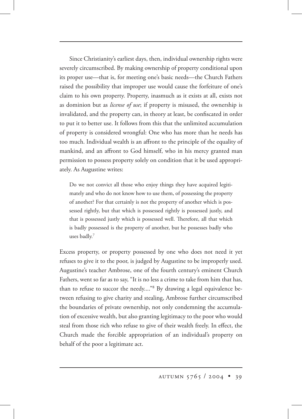Since Christianity's earliest days, then, individual ownership rights were severely circumscribed. By making ownership of property conditional upon its proper use—that is, for meeting one's basic needs—the Church Fathers raised the possibility that improper use would cause the forfeiture of one's claim to his own property. Property, inasmuch as it exists at all, exists not as dominion but as *license of use*; if property is misused, the ownership is invalidated, and the property can, in theory at least, be confiscated in order to put it to better use. It follows from this that the unlimited accumulation of property is considered wrongful: One who has more than he needs has too much. Individual wealth is an affront to the principle of the equality of mankind, and an affront to God himself, who in his mercy granted man permission to possess property solely on condition that it be used appropriately. As Augustine writes:

Do we not convict all those who enjoy things they have acquired legitimately and who do not know how to use them, of possessing the property of another? For that certainly is not the property of another which is possessed rightly, but that which is possessed rightly is possessed justly, and that is possessed justly which is possessed well. Therefore, all that which is badly possessed is the property of another, but he possesses badly who uses badly.<sup>7</sup>

Excess property, or property possessed by one who does not need it yet refuses to give it to the poor, is judged by Augustine to be improperly used. Augustine's teacher Ambrose, one of the fourth century's eminent Church Fathers, went so far as to say, "It is no less a crime to take from him that has, than to refuse to succor the needy...."<sup>8</sup> By drawing a legal equivalence between refusing to give charity and stealing, Ambrose further circumscribed the boundaries of private ownership, not only condemning the accumulation of excessive wealth, but also granting legitimacy to the poor who would steal from those rich who refuse to give of their wealth freely. In effect, the Church made the forcible appropriation of an individual's property on behalf of the poor a legitimate act.

AUTUMN  $5765 / 2004$  • 39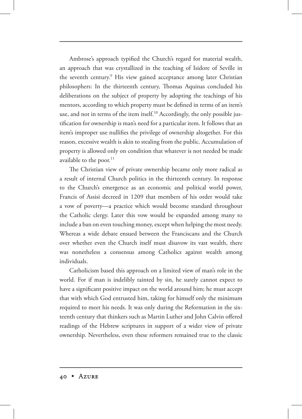Ambrose's approach typified the Church's regard for material wealth, an approach that was crystallized in the teaching of Isidore of Seville in the seventh century.<sup>9</sup> His view gained acceptance among later Christian philosophers: In the thirteenth century, Thomas Aquinas concluded his deliberations on the subject of property by adopting the teachings of his mentors, according to which property must be defined in terms of an item's use, and not in terms of the item itself.<sup>10</sup> Accordingly, the only possible justification for ownership is man's need for a particular item. It follows that an item's improper use nullifies the privilege of ownership altogether. For this reason, excessive wealth is akin to stealing from the public. Accumulation of property is allowed only on condition that whatever is not needed be made available to the poor. $11$ 

The Christian view of private ownership became only more radical as a result of internal Church politics in the thirteenth century. In response to the Church's emergence as an economic and political world power, Francis of Assisi decreed in 1209 that members of his order would take a vow of poverty—a practice which would become standard throughout the Catholic clergy. Later this vow would be expanded among many to include a ban on even touching money, except when helping the most needy. Whereas a wide debate ensued between the Franciscans and the Church over whether even the Church itself must disavow its vast wealth, there was nonetheless a consensus among Catholics against wealth among individuals.

Catholicism based this approach on a limited view of man's role in the world. For if man is indelibly tainted by sin, he surely cannot expect to have a significant positive impact on the world around him; he must accept that with which God entrusted him, taking for himself only the minimum required to meet his needs. It was only during the Reformation in the sixteenth century that thinkers such as Martin Luther and John Calvin offered readings of the Hebrew scriptures in support of a wider view of private ownership. Nevertheless, even these reformers remained true to the classic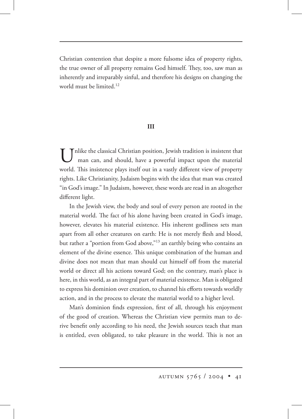Christian contention that despite a more fulsome idea of property rights, the true owner of all property remains God himself. They, too, saw man as inherently and irreparably sinful, and therefore his designs on changing the world must be limited.<sup>12</sup>

## **III**

Thlike the classical Christian position, Jewish tradition is insistent that man can, and should, have a powerful impact upon the material world. This insistence plays itself out in a vastly different view of property rights. Like Christianity, Judaism begins with the idea that man was created "in God's image." In Judaism, however, these words are read in an altogether different light.

In the Jewish view, the body and soul of every person are rooted in the material world. The fact of his alone having been created in God's image, however, elevates his material existence. His inherent godliness sets man apart from all other creatures on earth: He is not merely flesh and blood, but rather a "portion from God above,"<sup>13</sup> an earthly being who contains an element of the divine essence. This unique combination of the human and divine does not mean that man should cut himself off from the material world or direct all his actions toward God; on the contrary, man's place is here, in this world, as an integral part of material existence. Man is obligated to express his dominion over creation, to channel his efforts towards worldly action, and in the process to elevate the material world to a higher level.

Man's dominion finds expression, first of all, through his enjoyment of the good of creation. Whereas the Christian view permits man to derive benefit only according to his need, the Jewish sources teach that man is entitled, even obligated, to take pleasure in the world. This is not an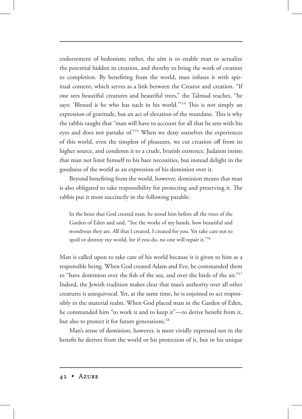endorsement of hedonism; rather, the aim is to enable man to actualize the potential hidden in creation, and thereby to bring the work of creation to completion. By benefiting from the world, man infuses it with spiritual content, which serves as a link between the Creator and creation. "If one sees beautiful creatures and beautiful trees," the Talmud teaches, "he says: 'Blessed is he who has such in his world.'"<sup>14</sup> This is not simply an expression of gratitude, but an act of elevation of the mundane. This is why the rabbis taught that "man will have to account for all that he sees with his eyes and does not partake of."15 When we deny ourselves the experiences of this world, even the simplest of pleasures, we cut creation off from its higher source, and condemn it to a crude, brutish existence. Judaism insists that man not limit himself to his bare necessities, but instead delight in the goodness of the world as an expression of his dominion over it.

Beyond benefiting from the world, however, dominion means that man is also obligated to take responsibility for protecting and preserving it. The rabbis put it most succinctly in the following parable:

In the hour that God created man, he stood him before all the trees of the Garden of Eden and said, "See the works of my hands, how beautiful and wondrous they are. All that I created, I created for you. Yet take care not to spoil or destroy my world, for if you do, no one will repair it."<sup>16</sup>

Man is called upon to take care of his world because it is given to him as a responsible being. When God created Adam and Eve, he commanded them to "have dominion over the fish of the sea, and over the birds of the air."17 Indeed, the Jewish tradition makes clear that man's authority over all other creatures is unequivocal. Yet, at the same time, he is enjoined to act responsibly in the material realm. When God placed man in the Garden of Eden, he commanded him "to work it and to keep it"—to derive benefit from it, but also to protect it for future generations.<sup>18</sup>

Man's sense of dominion, however, is most vividly expressed not in the benefit he derives from the world or his protection of it, but in his unique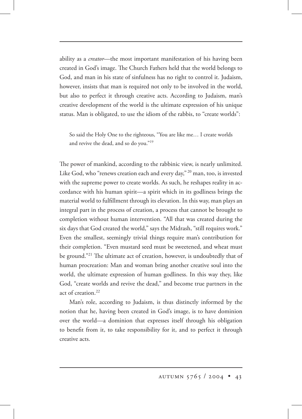ability as a *creator*—the most important manifestation of his having been created in God's image. The Church Fathers held that the world belongs to God, and man in his state of sinfulness has no right to control it. Judaism, however, insists that man is required not only to be involved in the world, but also to perfect it through creative acts. According to Judaism, man's creative development of the world is the ultimate expression of his unique status. Man is obligated, to use the idiom of the rabbis, to "create worlds":

So said the Holy One to the righteous, "You are like me… I create worlds and revive the dead, and so do you."19

The power of mankind, according to the rabbinic view, is nearly unlimited. Like God, who "renews creation each and every day," 20 man, too, is invested with the supreme power to create worlds. As such, he reshapes reality in accordance with his human spirit—a spirit which in its godliness brings the material world to fulfillment through its elevation. In this way, man plays an integral part in the process of creation, a process that cannot be brought to completion without human intervention. "All that was created during the six days that God created the world," says the Midrash, "still requires work." Even the smallest, seemingly trivial things require man's contribution for their completion. "Even mustard seed must be sweetened, and wheat must be ground."<sup>21</sup> The ultimate act of creation, however, is undoubtedly that of human procreation: Man and woman bring another creative soul into the world, the ultimate expression of human godliness. In this way they, like God, "create worlds and revive the dead," and become true partners in the act of creation.<sup>22</sup>

Man's role, according to Judaism, is thus distinctly informed by the notion that he, having been created in God's image, is to have dominion over the world—a dominion that expresses itself through his obligation to benefit from it, to take responsibility for it, and to perfect it through creative acts.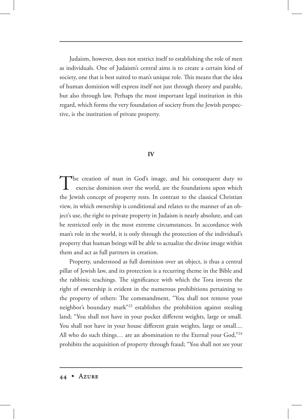Judaism, however, does not restrict itself to establishing the role of men as individuals. One of Judaism's central aims is to create a certain kind of society, one that is best suited to man's unique role. This means that the idea of human dominion will express itself not just through theory and parable, but also through law. Perhaps the most important legal institution in this regard, which forms the very foundation of society from the Jewish perspective, is the institution of private property.

## **IV**

The creation of man in God's image, and his consequent duty to exercise dominion over the world, are the foundations upon which the Jewish concept of property rests. In contrast to the classical Christian view, in which ownership is conditional and relates to the manner of an object's use, the right to private property in Judaism is nearly absolute, and can be restricted only in the most extreme circumstances. In accordance with man's role in the world, it is only through the protection of the individual's property that human beings will be able to actualize the divine image within them and act as full partners in creation.

Property, understood as full dominion over an object, is thus a central pillar of Jewish law, and its protection is a recurring theme in the Bible and the rabbinic teachings. The significance with which the Tora invests the right of ownership is evident in the numerous prohibitions pertaining to the property of others: The commandment, "You shall not remove your neighbor's boundary mark"23 establishes the prohibition against stealing land; "You shall not have in your pocket different weights, large or small. You shall not have in your house different grain weights, large or small.... All who do such things... are an abomination to the Eternal your  $God, "24"$ prohibits the acquisition of property through fraud; "You shall not see your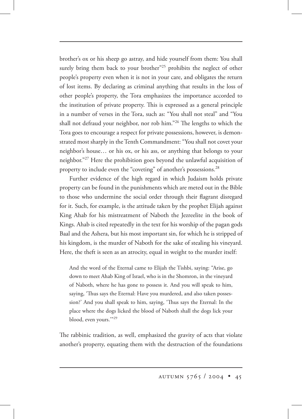brother's ox or his sheep go astray, and hide yourself from them: You shall surely bring them back to your brother"<sup>25</sup> prohibits the neglect of other people's property even when it is not in your care, and obligates the return of lost items. By declaring as criminal anything that results in the loss of other people's property, the Tora emphasizes the importance accorded to the institution of private property. This is expressed as a general principle in a number of verses in the Tora, such as: "You shall not steal" and "You shall not defraud your neighbor, nor rob him."<sup>26</sup> The lengths to which the Tora goes to encourage a respect for private possessions, however, is demonstrated most sharply in the Tenth Commandment: "You shall not covet your neighbor's house… or his ox, or his ass, or anything that belongs to your neighbor."27 Here the prohibition goes beyond the unlawful acquisition of property to include even the "coveting" of another's possessions.<sup>28</sup>

Further evidence of the high regard in which Judaism holds private property can be found in the punishments which are meted out in the Bible to those who undermine the social order through their flagrant disregard for it. Such, for example, is the attitude taken by the prophet Elijah against King Ahab for his mistreatment of Naboth the Jezreelite in the book of Kings. Ahab is cited repeatedly in the text for his worship of the pagan gods Baal and the Ashera, but his most important sin, for which he is stripped of his kingdom, is the murder of Naboth for the sake of stealing his vineyard. Here, the theft is seen as an atrocity, equal in weight to the murder itself:

And the word of the Eternal came to Elijah the Tishbi, saying: "Arise, go down to meet Ahab King of Israel, who is in the Shomron, in the vineyard of Naboth, where he has gone to possess it. And you will speak to him, saying, 'Thus says the Eternal: Have you murdered, and also taken possession?' And you shall speak to him, saying, 'Thus says the Eternal: In the place where the dogs licked the blood of Naboth shall the dogs lick your blood, even yours.'"29

The rabbinic tradition, as well, emphasized the gravity of acts that violate another's property, equating them with the destruction of the foundations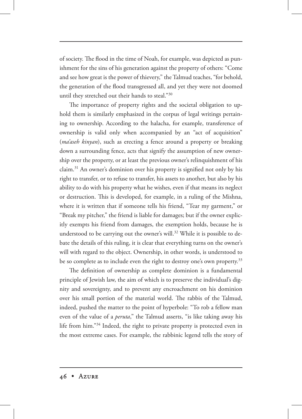of society. The flood in the time of Noah, for example, was depicted as punishment for the sins of his generation against the property of others: "Come and see how great is the power of thievery," the Talmud teaches, "for behold, the generation of the flood transgressed all, and yet they were not doomed until they stretched out their hands to steal."30

The importance of property rights and the societal obligation to uphold them is similarly emphasized in the corpus of legal writings pertaining to ownership. According to the halacha, for example, transference of ownership is valid only when accompanied by an "act of acquisition" (*ma'aseh kinyan*), such as erecting a fence around a property or breaking down a surrounding fence, acts that signify the assumption of new ownership over the property, or at least the previous owner's relinquishment of his claim.31 An owner's dominion over his property is signified not only by his right to transfer, or to refuse to transfer, his assets to another, but also by his ability to do with his property what he wishes, even if that means its neglect or destruction. This is developed, for example, in a ruling of the Mishna, where it is written that if someone tells his friend, "Tear my garment," or "Break my pitcher," the friend is liable for damages; but if the owner explicitly exempts his friend from damages, the exemption holds, because he is understood to be carrying out the owner's will.<sup>32</sup> While it is possible to debate the details of this ruling, it is clear that everything turns on the owner's will with regard to the object. Ownership, in other words, is understood to be so complete as to include even the right to destroy one's own property.<sup>33</sup>

The definition of ownership as complete dominion is a fundamental principle of Jewish law, the aim of which is to preserve the individual's dignity and sovereignty, and to prevent any encroachment on his dominion over his small portion of the material world. The rabbis of the Talmud, indeed, pushed the matter to the point of hyperbole: "To rob a fellow man even of the value of a *peruta*," the Talmud asserts, "is like taking away his life from him."<sup>34</sup> Indeed, the right to private property is protected even in the most extreme cases. For example, the rabbinic legend tells the story of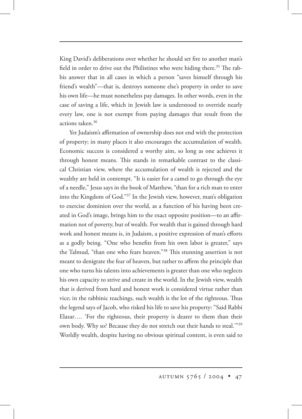King David's deliberations over whether he should set fire to another man's field in order to drive out the Philistines who were hiding there.<sup>35</sup> The rabbis answer that in all cases in which a person "saves himself through his friend's wealth"—that is, destroys someone else's property in order to save his own life—he must nonetheless pay damages. In other words, even in the case of saving a life, which in Jewish law is understood to override nearly every law, one is not exempt from paying damages that result from the actions taken.36

Yet Judaism's affirmation of ownership does not end with the protection of property; in many places it also encourages the accumulation of wealth. Economic success is considered a worthy aim, so long as one achieves it through honest means. This stands in remarkable contrast to the classical Christian view, where the accumulation of wealth is rejected and the wealthy are held in contempt. "It is easier for a camel to go through the eye of a needle," Jesus says in the book of Matthew, "than for a rich man to enter into the Kingdom of God."37 In the Jewish view, however, man's obligation to exercise dominion over the world, as a function of his having been created in God's image, brings him to the exact opposite position—to an affirmation not of poverty, but of wealth. For wealth that is gained through hard work and honest means is, in Judaism, a positive expression of man's efforts as a godly being. "One who benefits from his own labor is greater," says the Talmud, "than one who fears heaven."<sup>38</sup> This stunning assertion is not meant to denigrate the fear of heaven, but rather to affirm the principle that one who turns his talents into achievements is greater than one who neglects his own capacity to strive and create in the world. In the Jewish view, wealth that is derived from hard and honest work is considered virtue rather than vice; in the rabbinic teachings, such wealth is the lot of the righteous. Thus the legend says of Jacob, who risked his life to save his property: "Said Rabbi Elazar…. 'For the righteous, their property is dearer to them than their own body. Why so? Because they do not stretch out their hands to steal.'"<sup>39</sup> Worldly wealth, despite having no obvious spiritual content, is even said to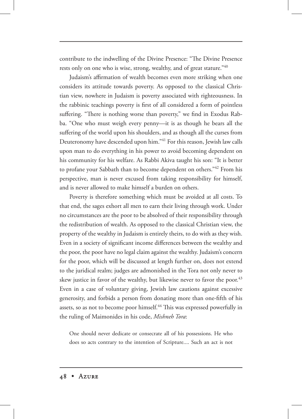contribute to the indwelling of the Divine Presence: "The Divine Presence rests only on one who is wise, strong, wealthy, and of great stature."40

Judaism's affirmation of wealth becomes even more striking when one considers its attitude towards poverty. As opposed to the classical Christian view, nowhere in Judaism is poverty associated with righteousness. In the rabbinic teachings poverty is first of all considered a form of pointless suffering. "There is nothing worse than poverty," we find in Exodus Rabba. "One who must weigh every penny—it is as though he bears all the suffering of the world upon his shoulders, and as though all the curses from Deuteronomy have descended upon him."41 For this reason, Jewish law calls upon man to do everything in his power to avoid becoming dependent on his community for his welfare. As Rabbi Akiva taught his son: "It is better to profane your Sabbath than to become dependent on others."42 From his perspective, man is never excused from taking responsibility for himself, and is never allowed to make himself a burden on others.

Poverty is therefore something which must be avoided at all costs. To that end, the sages exhort all men to earn their living through work. Under no circumstances are the poor to be absolved of their responsibility through the redistribution of wealth. As opposed to the classical Christian view, the property of the wealthy in Judaism is entirely theirs, to do with as they wish. Even in a society of significant income differences between the wealthy and the poor, the poor have no legal claim against the wealthy. Judaism's concern for the poor, which will be discussed at length further on, does not extend to the juridical realm; judges are admonished in the Tora not only never to skew justice in favor of the wealthy, but likewise never to favor the poor.<sup>43</sup> Even in a case of voluntary giving, Jewish law cautions against excessive generosity, and forbids a person from donating more than one-fifth of his assets, so as not to become poor himself.<sup>44</sup> This was expressed powerfully in the ruling of Maimonides in his code, *Mishneh Tora*:

One should never dedicate or consecrate all of his possessions. He who does so acts contrary to the intention of Scripture.... Such an act is not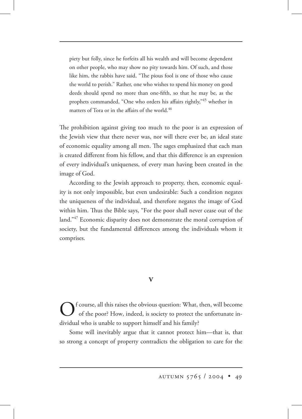piety but folly, since he forfeits all his wealth and will become dependent on other people, who may show no pity towards him. Of such, and those like him, the rabbis have said, "The pious fool is one of those who cause the world to perish." Rather, one who wishes to spend his money on good deeds should spend no more than one-fifth, so that he may be, as the prophets commanded, "One who orders his affairs rightly,"<sup>45</sup> whether in matters of Tora or in the affairs of the world.<sup>46</sup>

The prohibition against giving too much to the poor is an expression of the Jewish view that there never was, nor will there ever be, an ideal state of economic equality among all men. The sages emphasized that each man is created different from his fellow, and that this difference is an expression of every individual's uniqueness, of every man having been created in the image of God.

According to the Jewish approach to property, then, economic equality is not only impossible, but even undesirable: Such a condition negates the uniqueness of the individual, and therefore negates the image of God within him. Thus the Bible says, "For the poor shall never cease out of the land."<sup>47</sup> Economic disparity does not demonstrate the moral corruption of society, but the fundamental differences among the individuals whom it comprises.

#### **V**

 $\bigodot$  f course, all this raises the obvious question: What, then, will become of the poor? How, indeed, is society to protect the unfortunate individual who is unable to support himself and his family?

Some will inevitably argue that it cannot protect him—that is, that so strong a concept of property contradicts the obligation to care for the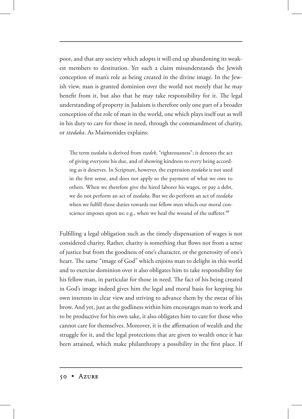poor, and that any society which adopts it will end up abandoning its weakest members to destitution. Yet such a claim misunderstands the Jewish conception of man's role as being created in the divine image. In the Jewish view, man is granted dominion over the world not merely that he may benefit from it, but also that he may take responsibility for it. The legal understanding of property in Judaism is therefore only one part of a broader conception of the role of man in the world, one which plays itself out as well in his duty to care for those in need, through the commandment of charity, or *tzedaka*. As Maimonides explains:

The term *tzedaka* is derived from *tzedek*, "righteousness"; it denotes the act of giving everyone his due, and of showing kindness to every being according as it deserves. In Scripture, however, the expression *tzedaka* is not used in the first sense, and does not apply to the payment of what we owe to others. When we therefore give the hired laborer his wages, or pay a debt, we do not perform an act of *tzedaka*. But we do perform an act of *tzedaka* when we fulfill those duties towards our fellow men which our moral conscience imposes upon us; e.g., when we heal the wound of the sufferer.<sup>48</sup>

Fulfilling a legal obligation such as the timely dispensation of wages is not considered charity. Rather, charity is something that flows not from a sense of justice but from the goodness of one's character, or the generosity of one's heart. The same "image of God" which enjoins man to delight in this world and to exercise dominion over it also obligates him to take responsibility for his fellow man, in particular for those in need. The fact of his being created in God's image indeed gives him the legal and moral basis for keeping his own interests in clear view and striving to advance them by the sweat of his brow. And yet, just as the godliness within him encourages man to work and to be productive for his own sake, it also obligates him to care for those who cannot care for themselves. Moreover, it is the affirmation of wealth and the struggle for it, and the legal protections that are given to wealth once it has been attained, which make philanthropy a possibility in the first place. If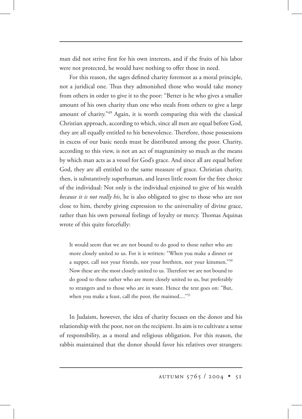man did not strive first for his own interests, and if the fruits of his labor were not protected, he would have nothing to offer those in need.

For this reason, the sages defined charity foremost as a moral principle, not a juridical one. Thus they admonished those who would take money from others in order to give it to the poor: "Better is he who gives a smaller amount of his own charity than one who steals from others to give a large amount of charity."49 Again, it is worth comparing this with the classical Christian approach, according to which, since all men are equal before God, they are all equally entitled to his benevolence. Therefore, those possessions in excess of our basic needs must be distributed among the poor. Charity, according to this view, is not an act of magnanimity so much as the means by which man acts as a vessel for God's grace. And since all are equal before God, they are all entitled to the same measure of grace. Christian charity, then, is substantively superhuman, and leaves little room for the free choice of the individual: Not only is the individual enjoined to give of his wealth *because it is not really his*, he is also obligated to give to those who are not close to him, thereby giving expression to the universality of divine grace, rather than his own personal feelings of loyalty or mercy. Thomas Aquinas wrote of this quite forcefully:

It would seem that we are not bound to do good to those rather who are more closely united to us. For it is written: "When you make a dinner or a supper, call not your friends, nor your brethren, nor your kinsmen."<sup>50</sup> Now these are the most closely united to us. Therefore we are not bound to do good to those rather who are more closely united to us, but preferably to strangers and to those who are in want. Hence the text goes on: "But, when you make a feast, call the poor, the maimed...."<sup>51</sup>

In Judaism, however, the idea of charity focuses on the donor and his relationship with the poor, not on the recipient. Its aim is to cultivate a sense of responsibility, as a moral and religious obligation. For this reason, the rabbis maintained that the donor should favor his relatives over strangers: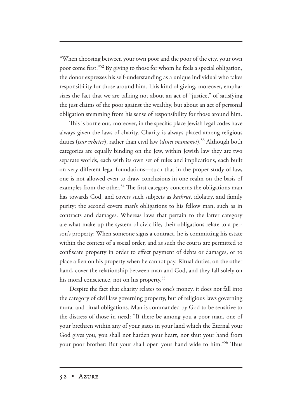"When choosing between your own poor and the poor of the city, your own poor come first."52 By giving to those for whom he feels a special obligation, the donor expresses his self-understanding as a unique individual who takes responsibility for those around him. This kind of giving, moreover, emphasizes the fact that we are talking not about an act of "justice," of satisfying the just claims of the poor against the wealthy, but about an act of personal obligation stemming from his sense of responsibility for those around him.

This is borne out, moreover, in the specific place Jewish legal codes have always given the laws of charity. Charity is always placed among religious duties (*isur veheter*), rather than civil law (*dinei mamonot*).<sup>53</sup> Although both categories are equally binding on the Jew, within Jewish law they are two separate worlds, each with its own set of rules and implications, each built on very different legal foundations—such that in the proper study of law, one is not allowed even to draw conclusions in one realm on the basis of examples from the other.<sup>54</sup> The first category concerns the obligations man has towards God, and covers such subjects as *kashrut*, idolatry, and family purity; the second covers man's obligations to his fellow man, such as in contracts and damages. Whereas laws that pertain to the latter category are what make up the system of civic life, their obligations relate to a person's property: When someone signs a contract, he is committing his estate within the context of a social order, and as such the courts are permitted to confiscate property in order to effect payment of debts or damages, or to place a lien on his property when he cannot pay. Ritual duties, on the other hand, cover the relationship between man and God, and they fall solely on his moral conscience, not on his property.<sup>55</sup>

Despite the fact that charity relates to one's money, it does not fall into the category of civil law governing property, but of religious laws governing moral and ritual obligations. Man is commanded by God to be sensitive to the distress of those in need: "If there be among you a poor man, one of your brethren within any of your gates in your land which the Eternal your God gives you, you shall not harden your heart, nor shut your hand from your poor brother: But your shall open your hand wide to him."<sup>56</sup> Thus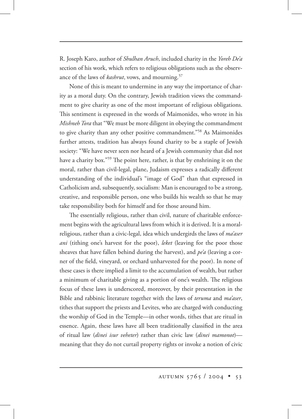R. Joseph Karo, author of *Shulhan Aruch*, included charity in the *Yoreh De'a*  section of his work, which refers to religious obligations such as the observance of the laws of *kashrut*, vows, and mourning.<sup>57</sup>

None of this is meant to undermine in any way the importance of charity as a moral duty. On the contrary, Jewish tradition views the commandment to give charity as one of the most important of religious obligations. This sentiment is expressed in the words of Maimonides, who wrote in his *Mishneh Tora* that "We must be more diligent in obeying the commandment to give charity than any other positive commandment."<sup>58</sup> As Maimonides further attests, tradition has always found charity to be a staple of Jewish society: "We have never seen nor heard of a Jewish community that did not have a charity box."<sup>59</sup> The point here, rather, is that by enshrining it on the moral, rather than civil-legal, plane, Judaism expresses a radically different understanding of the individual's "image of God" than that expressed in Catholicism and, subsequently, socialism: Man is encouraged to be a strong, creative, and responsible person, one who builds his wealth so that he may take responsibility both for himself and for those around him.

The essentially religious, rather than civil, nature of charitable enforcement begins with the agricultural laws from which it is derived. It is a moralreligious, rather than a civic-legal, idea which undergirds the laws of *ma'aser ani* (tithing one's harvest for the poor), *leket* (leaving for the poor those sheaves that have fallen behind during the harvest), and *pe'a* (leaving a corner of the field, vineyard, or orchard unharvested for the poor). In none of these cases is there implied a limit to the accumulation of wealth, but rather a minimum of charitable giving as a portion of one's wealth. The religious focus of these laws is underscored, moreover, by their presentation in the Bible and rabbinic literature together with the laws of *teruma* and *ma'aser*, tithes that support the priests and Levites, who are charged with conducting the worship of God in the Temple—in other words, tithes that are ritual in essence. Again, these laws have all been traditionally classified in the area of ritual law (*dinei isur veheter*) rather than civic law (*dinei mamonot*) meaning that they do not curtail property rights or invoke a notion of civic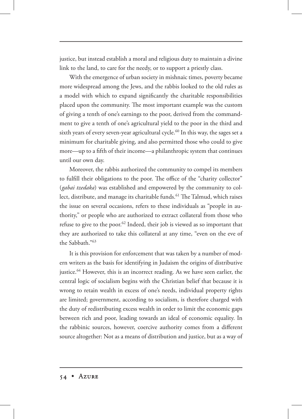justice, but instead establish a moral and religious duty to maintain a divine link to the land, to care for the needy, or to support a priestly class.

With the emergence of urban society in mishnaic times, poverty became more widespread among the Jews, and the rabbis looked to the old rules as a model with which to expand significantly the charitable responsibilities placed upon the community. The most important example was the custom of giving a tenth of one's earnings to the poor, derived from the commandment to give a tenth of one's agricultural yield to the poor in the third and sixth years of every seven-year agricultural cycle.<sup>60</sup> In this way, the sages set a minimum for charitable giving, and also permitted those who could to give more—up to a fifth of their income—a philanthropic system that continues until our own day.

Moreover, the rabbis authorized the community to compel its members to fulfill their obligations to the poor. The office of the "charity collector" (*gabai tzedaka*) was established and empowered by the community to collect, distribute, and manage its charitable funds.<sup>61</sup> The Talmud, which raises the issue on several occasions, refers to these individuals as "people in authority," or people who are authorized to extract collateral from those who refuse to give to the poor.62 Indeed, their job is viewed as so important that they are authorized to take this collateral at any time, "even on the eve of the Sabbath."63

It is this provision for enforcement that was taken by a number of modern writers as the basis for identifying in Judaism the origins of distributive justice.<sup>64</sup> However, this is an incorrect reading. As we have seen earlier, the central logic of socialism begins with the Christian belief that because it is wrong to retain wealth in excess of one's needs, individual property rights are limited; government, according to socialism, is therefore charged with the duty of redistributing excess wealth in order to limit the economic gaps between rich and poor, leading towards an ideal of economic equality. In the rabbinic sources, however, coercive authority comes from a different source altogether: Not as a means of distribution and justice, but as a way of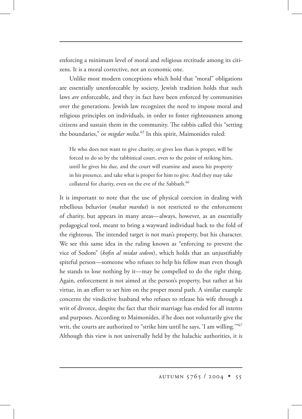enforcing a minimum level of moral and religious rectitude among its citizens. It is a moral corrective, not an economic one.

Unlike most modern conceptions which hold that "moral" obligations are essentially unenforceable by society, Jewish tradition holds that such laws *are* enforceable, and they in fact have been enforced by communities over the generations. Jewish law recognizes the need to impose moral and religious principles on individuals, in order to foster righteousness among citizens and sustain them in the community. The rabbis called this "setting the boundaries," or *migdar milta*. 65 In this spirit, Maimonides ruled:

He who does not want to give charity, or gives less than is proper, will be forced to do so by the rabbinical court, even to the point of striking him, until he gives his due, and the court will examine and assess his property in his presence, and take what is proper for him to give. And they may take collateral for charity, even on the eve of the Sabbath.<sup>66</sup>

It is important to note that the use of physical coercion in dealing with rebellious behavior (*makat mardut*) is not restricted to the enforcement of charity, but appears in many areas—always, however, as an essentially pedagogical tool, meant to bring a wayward individual back to the fold of the righteous. The intended target is not man's property, but his character. We see this same idea in the ruling known as "enforcing to prevent the vice of Sodom" (*kofin al midat sedom*), which holds that an unjustifiably spiteful person—someone who refuses to help his fellow man even though he stands to lose nothing by it—may be compelled to do the right thing. Again, enforcement is not aimed at the person's property, but rather at his virtue, in an effort to set him on the proper moral path. A similar example concerns the vindictive husband who refuses to release his wife through a writ of divorce, despite the fact that their marriage has ended for all intents and purposes. According to Maimonides, if he does not voluntarily give the writ, the courts are authorized to "strike him until he says, 'I am willing.'"<sup>67</sup> Although this view is not universally held by the halachic authorities, it is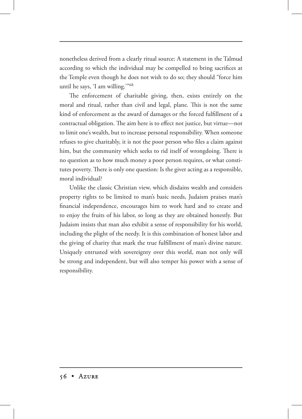nonetheless derived from a clearly ritual source: A statement in the Talmud according to which the individual may be compelled to bring sacrifices at the Temple even though he does not wish to do so; they should "force him until he says, 'I am willing.'"68

The enforcement of charitable giving, then, exists entirely on the moral and ritual, rather than civil and legal, plane. This is not the same kind of enforcement as the award of damages or the forced fulfillment of a contractual obligation. The aim here is to effect not justice, but virtue—not to limit one's wealth, but to increase personal responsibility. When someone refuses to give charitably, it is not the poor person who files a claim against him, but the community which seeks to rid itself of wrongdoing. There is no question as to how much money a poor person requires, or what constitutes poverty. There is only one question: Is the giver acting as a responsible, moral individual?

Unlike the classic Christian view, which disdains wealth and considers property rights to be limited to man's basic needs, Judaism praises man's financial independence, encourages him to work hard and to create and to enjoy the fruits of his labor, so long as they are obtained honestly. But Judaism insists that man also exhibit a sense of responsibility for his world, including the plight of the needy. It is this combination of honest labor and the giving of charity that mark the true fulfillment of man's divine nature. Uniquely entrusted with sovereignty over this world, man not only will be strong and independent, but will also temper his power with a sense of responsibility.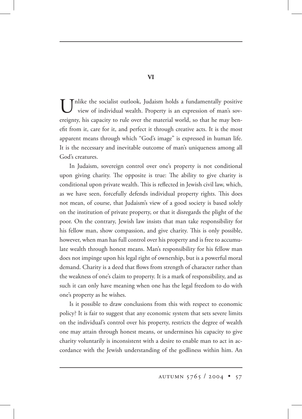Thlike the socialist outlook, Judaism holds a fundamentally positive view of individual wealth. Property is an expression of man's sovereignty, his capacity to rule over the material world, so that he may benefit from it, care for it, and perfect it through creative acts. It is the most apparent means through which "God's image" is expressed in human life. It is the necessary and inevitable outcome of man's uniqueness among all God's creatures.

In Judaism, sovereign control over one's property is not conditional upon giving charity. The opposite is true: The ability to give charity is conditional upon private wealth. This is reflected in Jewish civil law, which, as we have seen, forcefully defends individual property rights. This does not mean, of course, that Judaism's view of a good society is based solely on the institution of private property, or that it disregards the plight of the poor. On the contrary, Jewish law insists that man take responsibility for his fellow man, show compassion, and give charity. This is only possible, however, when man has full control over his property and is free to accumulate wealth through honest means. Man's responsibility for his fellow man does not impinge upon his legal right of ownership, but is a powerful moral demand. Charity is a deed that flows from strength of character rather than the weakness of one's claim to property. It is a mark of responsibility, and as such it can only have meaning when one has the legal freedom to do with one's property as he wishes.

Is it possible to draw conclusions from this with respect to economic policy? It is fair to suggest that any economic system that sets severe limits on the individual's control over his property, restricts the degree of wealth one may attain through honest means, or undermines his capacity to give charity voluntarily is inconsistent with a desire to enable man to act in accordance with the Jewish understanding of the godliness within him. An

**VI**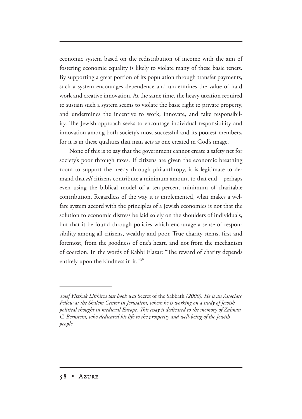economic system based on the redistribution of income with the aim of fostering economic equality is likely to violate many of these basic tenets. By supporting a great portion of its population through transfer payments, such a system encourages dependence and undermines the value of hard work and creative innovation. At the same time, the heavy taxation required to sustain such a system seems to violate the basic right to private property, and undermines the incentive to work, innovate, and take responsibility. The Jewish approach seeks to encourage individual responsibility and innovation among both society's most successful and its poorest members, for it is in these qualities that man acts as one created in God's image.

None of this is to say that the government cannot create a safety net for society's poor through taxes. If citizens are given the economic breathing room to support the needy through philanthropy, it is legitimate to demand that *all* citizens contribute a minimum amount to that end—perhaps even using the biblical model of a ten-percent minimum of charitable contribution. Regardless of the way it is implemented, what makes a welfare system accord with the principles of a Jewish economics is not that the solution to economic distress be laid solely on the shoulders of individuals, but that it be found through policies which encourage a sense of responsibility among all citizens, wealthy and poor. True charity stems, first and foremost, from the goodness of one's heart, and not from the mechanism of coercion. In the words of Rabbi Elazar: "The reward of charity depends entirely upon the kindness in it."<sup>69</sup>

*Yosef Yitzhak Lifshitz's last book was* Secret of the Sabbath *(2000). He is an Associate Fellow at the Shalem Center in Jerusalem, where he is working on a study of Jewish*  political thought in medieval Europe. This essay is dedicated to the memory of Zalman *C. Bernstein, who dedicated his life to the prosperity and well-being of the Jewish people.*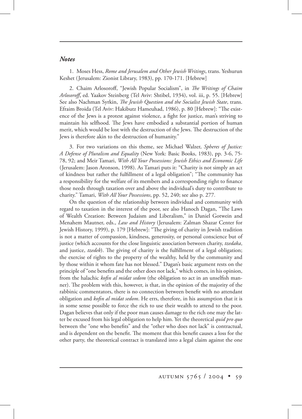## *Notes*

1. Moses Hess, *Rome and Jerusalem and Other Jewish Writings*, trans. Yeshurun Keshet (Jerusalem: Zionist Library, 1983), pp. 170-171. [Hebrew]

2. Chaim Arlosoroff, "Jewish Popular Socialism", in *The Writings of Chaim* Arlosoroff, ed. Yaakov Steinberg (Tel Aviv: Shtibel, 1934), vol. iii, p. 55. [Hebrew] See also Nachman Syrkin, *The Jewish Question and the Socialist Jewish State*, trans. Efraim Broida (Tel Aviv: Hakibutz Hameuhad, 1986), p. 80 [Hebrew]: "The existence of the Jews is a protest against violence, a fight for justice, man's striving to maintain his selfhood. The Jews have embodied a substantial portion of human merit, which would be lost with the destruction of the Jews. The destruction of the Jews is therefore akin to the destruction of humanity."

3. For two variations on this theme, see Michael Walzer, *Spheres of Justice: A Defense of Pluralism and Equality* (New York: Basic Books, 1983), pp. 3-6, 75- 78, 92; and Meir Tamari, *With All Your Possessions: Jewish Ethics and Economic Life*  (Jerusalem: Jason Aronson, 1998). As Tamari puts it: "Charity is not simply an act of kindness but rather the fulfillment of a legal obligation"; "The community has a responsibility for the welfare of its members and a corresponding right to finance those needs through taxation over and above the individual's duty to contribute to charity." Tamari, *With All Your Possessions*, pp. 52, 240; see also p. 277.

On the question of the relationship between individual and community with regard to taxation in the interest of the poor, see also Hanoch Dagan, "The Laws of Wealth Creation: Between Judaism and Liberalism," in Daniel Gotwein and Menahem Mautner, eds., *Law and History* (Jerusalem: Zalman Shazar Center for Jewish History, 1999), p. 179 [Hebrew]: "The giving of charity in Jewish tradition is not a matter of compassion, kindness, generosity, or personal conscience but of justice (which accounts for the close linguistic association between charity, *tzedaka*, and justice, *tzedek*). The giving of charity is the fulfillment of a legal obligation; the exercise of rights to the property of the wealthy, held by the community and by those within it whom fate has not blessed." Dagan's basic argument rests on the principle of "one benefits and the other does not lack," which comes, in his opinion, from the halachic *kofin al midat sedom* (the obligation to act in an unselfish manner). The problem with this, however, is that, in the opinion of the majority of the rabbinic commentators, there is no connection between benefit with no attendant obligation and *kofin al midat sedom*. He errs, therefore, in his assumption that it is in some sense possible to force the rich to use their wealth to attend to the poor. Dagan believes that only if the poor man causes damage to the rich one may the latter be excused from his legal obligation to help him. Yet the theoretical *quid pro quo* between the "one who benefits" and the "other who does not lack" is contractual, and is dependent on the benefit. The moment that this benefit causes a loss for the other party, the theoretical contract is translated into a legal claim against the one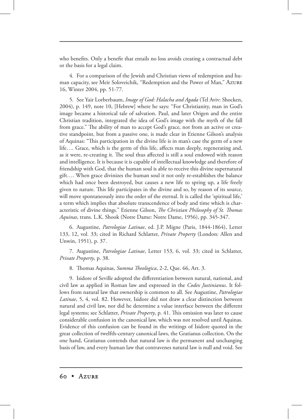who benefits. Only a benefit that entails no loss avoids creating a contractual debt or the basis for a legal claim.

4. For a comparison of the Jewish and Christian views of redemption and human capacity, see Meir Soloveichik, "Redemption and the Power of Man," A 16, Winter 2004, pp. 51-77.

5. See Yair Lorberbaum, *Image of God: Halacha and Agada* (Tel Aviv: Shocken, 2004), p. 149, note 10, [Hebrew] where he says: "For Christianity, man in God's image became a historical tale of salvation. Paul, and later Origen and the entire Christian tradition, integrated the idea of God's image with the myth of the fall from grace." The ability of man to accept God's grace, not from an active or creative standpoint, but from a passive one, is made clear in Etienne Gilson's analysis of Aquinas: "This participation in the divine life is in man's case the germ of a new life…. Grace, which is the germ of this life, affects man deeply, regenerating and, as it were, re-creating it. The soul thus affected is still a soul endowed with reason and intelligence. It is because it is capable of intellectual knowledge and therefore of friendship with God, that the human soul is able to receive this divine supernatural gift…. When grace divinizes the human soul it not only re-establishes the balance which had once been destroyed, but causes a new life to spring up, a life freely given to nature. This life participates in the divine and so, by reason of its source, will move spontaneously into the order of the eternal. It is called the 'spiritual life,' a term which implies that absolute transcendence of body and time which is characteristic of divine things." Etienne Gilson, *The Christian Philosophy of St. Thomas Aquinas*, trans. L.K. Shook (Notre Dame: Notre Dame, 1956), pp. 345-347.

6. Augustine, *Patrologiae Latinae*, ed. J.P. Migne (Paris, 1844-1864), Letter 133, 12, vol. 33; cited in Richard Schlatter, *Private Property* (London: Allen and Unwin, 1951), p. 37.

7. Augustine, *Patrologiae Latinae*, Letter 153, 6, vol. 33; cited in Schlatter, *Private Property*, p. 38.

8. Thomas Aquinas, *Summa Theologica*, 2-2, Que. 66, Art. 3.

9. Isidore of Seville adopted the differentiation between natural, national, and civil law as applied in Roman law and expressed in the *Codex Justinianus*. It follows from natural law that ownership is common to all. See Augustine, *Patrologiae Latinae*, 5, 4, vol. 82. However, Isidore did not draw a clear distinction between natural and civil law, nor did he determine a value interface between the different legal systems; see Schlatter, *Private Property*, p. 41. This omission was later to cause considerable confusion in the canonical law, which was not resolved until Aquinas. Evidence of this confusion can be found in the writings of Isidore quoted in the great collection of twelfth-century canonical laws, the Gratianus collection. On the one hand, Gratianus contends that natural law is the permanent and unchanging basis of law, and every human law that contravenes natural law is null and void. See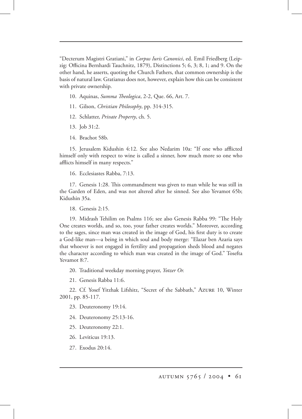"Decterum Magistri Gratiani," in *Corpus Iuris Canonici*, ed. Emil Friedberg (Leipzig: Officina Bernhardi Tauchnitz, 1879), Distinctions 5; 6, 3; 8, 1; and 9. On the other hand, he asserts, quoting the Church Fathers, that common ownership is the basis of natural law. Gratianus does not, however, explain how this can be consistent with private ownership.

- 10. Aquinas, *Summa Theologica*, 2-2, Que. 66, Art. 7.
- 11. Gilson, *Christian Philosophy*, pp. 314-315.
- 12. Schlatter, *Private Property*, ch. 5.
- 13. Job 31:2.
- 14. Brachot 58b.

15. Jerusalem Kidushin 4:12. See also Nedarim 10a: "If one who afflicted himself only with respect to wine is called a sinner, how much more so one who afflicts himself in many respects."

16. Ecclesiastes Rabba, 7:13.

17. Genesis 1:28. This commandment was given to man while he was still in the Garden of Eden, and was not altered after he sinned. See also Yevamot 65b; Kidushin 35a.

18. Genesis 2:15.

19. Midrash Tehilim on Psalms 116; see also Genesis Rabba 99: "The Holy One creates worlds, and so, too, your father creates worlds." Moreover, according to the sages, since man was created in the image of God, his first duty is to create a God-like man—a being in which soul and body merge: "Elazar ben Azaria says that whoever is not engaged in fertility and propagation sheds blood and negates the character according to which man was created in the image of God." Tosefta Yevamot 8:7.

20. Traditional weekday morning prayer, *Yotzer Or.*

21. Genesis Rabba 11:6.

22. Cf. Yosef Yitzhak Lifshitz, "Secret of the Sabbath," AzURE 10, Winter 2001, pp. 85-117.

23. Deuteronomy 19:14.

24. Deuteronomy 25:13-16.

25. Deuteronomy 22:1.

- 26. Leviticus 19:13.
- 27. Exodus 20:14.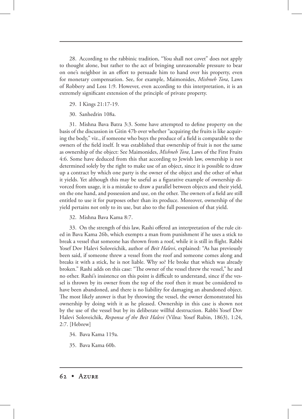28. According to the rabbinic tradition, "You shall not covet" does not apply to thought alone, but rather to the act of bringing unreasonable pressure to bear on one's neighbor in an effort to persuade him to hand over his property, even for monetary compensation. See, for example, Maimonides, *Mishneh Tora*, Laws of Robbery and Loss 1:9. However, even according to this interpretation, it is an extremely significant extension of the principle of private property.

- 29. I Kings 21:17-19.
- 30. Sanhedrin 108a.

31. Mishna Bava Batra 3:3. Some have attempted to define property on the basis of the discussion in Gitin 47b over whether "acquiring the fruits is like acquiring the body," viz., if someone who buys the produce of a field is comparable to the owners of the field itself. It was established that ownership of fruit is not the same as ownership of the object: See Maimonides, *Mishneh Tora*, Laws of the First Fruits 4:6. Some have deduced from this that according to Jewish law, ownership is not determined solely by the right to make use of an object, since it is possible to draw up a contract by which one party is the owner of the object and the other of what it yields. Yet although this may be useful as a figurative example of ownership divorced from usage, it is a mistake to draw a parallel between objects and their yield, on the one hand, and possession and use, on the other. The owners of a field are still entitled to use it for purposes other than its produce. Moreover, ownership of the yield pertains not only to its use, but also to the full possession of that yield.

32. Mishna Bava Kama 8:7.

33. On the strength of this law, Rashi offered an interpretation of the rule cited in Bava Kama 26b, which exempts a man from punishment if he uses a stick to break a vessel that someone has thrown from a roof, while it is still in flight. Rabbi Yosef Dov Halevi Soloveichik, author of *Beit Halevi*, explained: "As has previously been said, if someone threw a vessel from the roof and someone comes along and breaks it with a stick, he is not liable. Why so? He broke that which was already broken." Rashi adds on this case: "The owner of the vessel threw the vessel," he and no other. Rashi's insistence on this point is difficult to understand, since if the vessel is thrown by its owner from the top of the roof then it must be considered to have been abandoned, and there is no liability for damaging an abandoned object. The most likely answer is that by throwing the vessel, the owner demonstrated his ownership by doing with it as he pleased. Ownership in this case is shown not by the use of the vessel but by its deliberate willful destruction. Rabbi Yosef Dov Halevi Soloveichik, *Responsa of the Beit Halevi* (Vilna: Yosef Rubin, 1863), 1:24, 2:7. [Hebrew]

- 34. Bava Kama 119a.
- 35. Bava Kama 60b.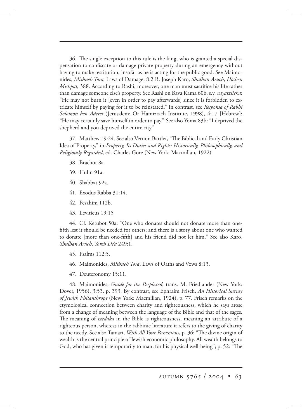36. The single exception to this rule is the king, who is granted a special dispensation to confiscate or damage private property during an emergency without having to make restitution, insofar as he is acting for the public good. See Maimonides, *Mishneh Tora*, Laws of Damage, 8:2 R. Joseph Karo, *Shulhan Aruch*, *Hoshen Mishpat* , 388. According to Rashi, moreover, one man must sacrifice his life rather than damage someone else's property. See Rashi on Bava Kama 60b, s.v. *vayatzileha*: "He may not burn it [even in order to pay afterwards] since it is forbidden to extricate himself by paying for it to be reinstated." In contrast, see *Responsa of Rabbi Solomon ben Aderet* (Jerusalem: Or Hamizrach Institute, 1998), 4:17 [Hebrew]: "He may certainly save himself in order to pay." See also Yoma 83b: "I deprived the shepherd and you deprived the entire city."

37. Matthew 19:24. See also Vernon Bartlet, "The Biblical and Early Christian Idea of Property," in *Property, Its Duties and Rights: Historically, Philosophically, and Religiously Regarded* , ed. Charles Gore (New York: Macmillan, 1922).

38. Brachot 8a.

- 39. Hulin 91a.
- 40. Shabbat 92a.
- 41. Exodus Rabba 31:14.
- 42. Pesahim 112b.
- 43. Leviticus 19:15

44. Cf. Ketubot 50a: "One who donates should not donate more than onefifth lest it should be needed for others; and there is a story about one who wanted to donate [more than one-fifth] and his friend did not let him." See also Karo, *Shulhan Aruch*, *Yoreh De'a* 249:1.

45. Psalms 112:5.

- 46. Maimonides, *Mishneh Tora*, Laws of Oaths and Vows 8:13.
- 47. Deuteronomy 15:11.

48. Maimonides, *Guide for the Perplexed*, trans. M. Friedlander (New York: Dover, 1956), 3:53, p. 393. By contrast, see Ephraim Frisch, *An Historical Survey of Jewish Philanthropy* (New York: Macmillan, 1924), p. 77. Frisch remarks on the etymological connection between charity and righteousness, which he says arose from a change of meaning between the language of the Bible and that of the sages. The meaning of *tzedaka* in the Bible is righteousness, meaning an attribute of a righteous person, whereas in the rabbinic literature it refers to the giving of charity to the needy. See also Tamari, *With All Your Possessions*, p. 36: "The divine origin of wealth is the central principle of Jewish economic philosophy. All wealth belongs to God, who has given it temporarily to man, for his physical well-being"; p. 52: "The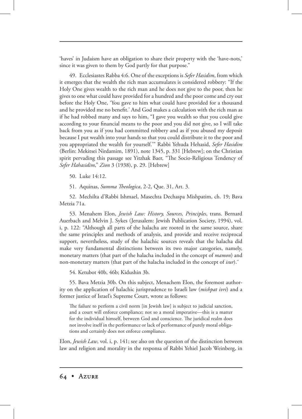'haves' in Judaism have an obligation to share their property with the 'have-nots,' since it was given to them by God partly for that purpose."

49. Ecclesiastes Rabba 4:6. One of the exceptions is *Sefer Hasidim*, from which it emerges that the wealth the rich man accumulates is considered robbery: "If the Holy One gives wealth to the rich man and he does not give to the poor, then he gives to one what could have provided for a hundred and the poor come and cry out before the Holy One, 'You gave to him what could have provided for a thousand and he provided me no benefit.' And God makes a calculation with the rich man as if he had robbed many and says to him, "I gave you wealth so that you could give according to your financial means to the poor and you did not give, so I will take back from you as if you had committed robbery and as if you abused my deposit because I put wealth into your hands so that you could distribute it to the poor and you appropriated the wealth for yourself.'" Rabbi Yehuda Hehasid, *Sefer Hasidim*  (Berlin: Mekitsei Nirdamim, 1891), note 1345, p. 331 [Hebrew]; on the Christian spirit pervading this passage see Yitzhak Baer, "The Socio-Religious Tendency of *Sefer Hahasidim*," *Zion* 3 (1938), p. 29. [Hebrew]

50. Luke 14:12.

51. Aquinas, *Summa Theologica*, 2-2, Que. 31, Art. 3.

52. Mechilta d'Rabbi Ishmael, Masechta Dechaspa Mishpatim, ch. 19; Bava Metzia 71a.

53. Menahem Elon, *Jewish Law: History, Sources, Principles*, trans. Bernard Auerbach and Melvin J. Sykes (Jerusalem: Jewish Publication Society, 1994), vol. i, p. 122: "Although all parts of the halacha are rooted in the same source, share the same principles and methods of analysis, and provide and receive reciprocal support, nevertheless, study of the halachic sources reveals that the halacha did make very fundamental distinctions between its two major categories, namely, monetary matters (that part of the halacha included in the concept of *mamon*) and non-monetary matters (that part of the halacha included in the concept of *isur*)."

54. Ketubot 40b, 46b; Kidushin 3b.

55. Bava Metzia 30b. On this subject, Menachem Elon, the foremost authority on the application of halachic jurisprudence to Israeli law (*mishpat ivri*) and a former justice of Israel's Supreme Court, wrote as follows:

The failure to perform a civil norm [in Jewish law] is subject to judicial sanction, and a court will enforce compliance; not so a moral imperative—this is a matter for the individual himself, between God and conscience. The juridical realm does not involve itself in the performance or lack of performance of purely moral obligations and certainly does not enforce compliance.

Elon, *Jewish Law*, vol. i, p. 141; see also on the question of the distinction between law and religion and morality in the responsa of Rabbi Yehiel Jacob Weinberg, in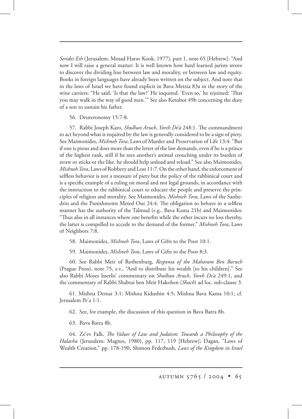*Seridei Esh* (Jerusalem: Mosad Harav Kook, 1977), part 1, note 65 [Hebrew]: "And now I will raise a general matter: It is well known how hard learned jurists strove to discover the dividing line between law and morality, or between law and equity. Books in foreign languages have already been written on the subject. And note that in the laws of Israel we have found explicit in Bava Metzia 83a in the story of the wine carriers: "He said, 'Is that the law?' He inquired. 'Even so,' he rejoined: 'That you may walk in the way of good men.'" See also Ketubot 49b concerning the duty of a son to sustain his father.

56. Deuteronomy 15:7-8.

57. Rabbi Joseph Karo, *Shulhan Aruch*, *Yoreh De'd* 248:1. The commandment to act beyond what is required by the law is generally considered to be a sign of piety. See Maimonides, *Mishneh Tora*, Laws of Murder and Preservation of Life 13:4: "But if one is pious and does more than the letter of the law demands, even if he is a prince of the highest rank, still if he sees another's animal crouching under its burden of straw or sticks or the like, he should help unload and reload." See also Maimonides, *Mishneh Tora*,Laws of Robbery and Loss 11:7. On the other hand, the enforcement of selfless behavior is not a measure of piety but the policy of the rabbinical court and is a specific example of a ruling on moral and not legal grounds, in accordance with the instruction to the rabbinical court to educate the people and preserve the principles of religion and morality. See Maimonides, *Mishneh Tora*, Laws of the Sanhedrin and the Punishments Meted Out 24:4. The obligation to behave in a selfless manner has the authority of the Talmud (e.g., Bava Kama 21b) and Maimonides: "Thus also in all instances where one benefits while the other incurs no loss thereby, the latter is compelled to accede to the demand of the former." *Mishneh Tora*, Laws of Neighbors 7:8.

58. Maimonides, *Mishneh Tora*, Laws of Gifts to the Poor 10:1.

59. Maimonides, *Mishneh Tora*, Laws of Gifts to the Poor 8:3.

60. See Rabbi Meir of Rothenburg, *Responsa of the Maharam Ben Baruch* (Prague Press), note 75, s.v., "And to distribute his wealth [to his children]." See also Rabbi Moses Isserlis' commentary on *Shulhan Aruch*, *Yoreh De'a* 249:1, and the commentary of Rabbi Shabtai ben Meir Hakohen (*Shach*) ad loc. sub-clause 3.

61. Mishna Demai 3:1; Mishna Kidushin 4:5; Mishna Bava Kama 10:1; cf. Jerusalem Pe'a 1:1.

62. See, for example, the discussion of this question in Bava Batra 8b.

63. Bava Batra 8b.

64. Ze'ev Falk, *The Values of Law and Judaism: Towards a Philosophy of the Halacha* (Jerusalem: Magnes, 1980), pp. 117, 119 [Hebrew]; Dagan, "Laws of Wealth Creation," pp. 178-190; Shimon Federbush, *Laws of the Kingdom in Israel*